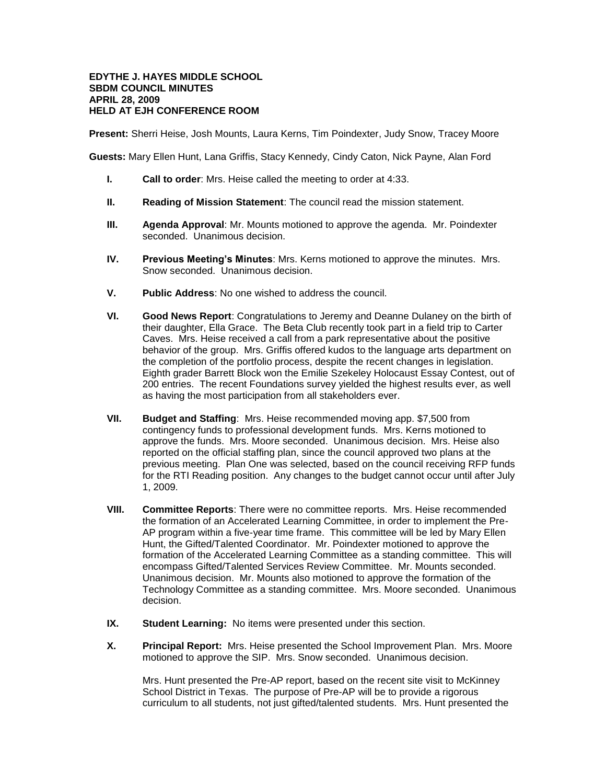## **EDYTHE J. HAYES MIDDLE SCHOOL SBDM COUNCIL MINUTES APRIL 28, 2009 HELD AT EJH CONFERENCE ROOM**

**Present:** Sherri Heise, Josh Mounts, Laura Kerns, Tim Poindexter, Judy Snow, Tracey Moore

**Guests:** Mary Ellen Hunt, Lana Griffis, Stacy Kennedy, Cindy Caton, Nick Payne, Alan Ford

- **I. Call to order**: Mrs. Heise called the meeting to order at 4:33.
- **II. Reading of Mission Statement**: The council read the mission statement.
- **III. Agenda Approval**: Mr. Mounts motioned to approve the agenda. Mr. Poindexter seconded. Unanimous decision.
- **IV. Previous Meeting's Minutes**: Mrs. Kerns motioned to approve the minutes. Mrs. Snow seconded. Unanimous decision.
- **V. Public Address**: No one wished to address the council.
- **VI. Good News Report**: Congratulations to Jeremy and Deanne Dulaney on the birth of their daughter, Ella Grace. The Beta Club recently took part in a field trip to Carter Caves. Mrs. Heise received a call from a park representative about the positive behavior of the group. Mrs. Griffis offered kudos to the language arts department on the completion of the portfolio process, despite the recent changes in legislation. Eighth grader Barrett Block won the Emilie Szekeley Holocaust Essay Contest, out of 200 entries. The recent Foundations survey yielded the highest results ever, as well as having the most participation from all stakeholders ever.
- **VII. Budget and Staffing**: Mrs. Heise recommended moving app. \$7,500 from contingency funds to professional development funds. Mrs. Kerns motioned to approve the funds. Mrs. Moore seconded. Unanimous decision. Mrs. Heise also reported on the official staffing plan, since the council approved two plans at the previous meeting. Plan One was selected, based on the council receiving RFP funds for the RTI Reading position. Any changes to the budget cannot occur until after July 1, 2009.
- **VIII. Committee Reports**: There were no committee reports. Mrs. Heise recommended the formation of an Accelerated Learning Committee, in order to implement the Pre-AP program within a five-year time frame. This committee will be led by Mary Ellen Hunt, the Gifted/Talented Coordinator. Mr. Poindexter motioned to approve the formation of the Accelerated Learning Committee as a standing committee. This will encompass Gifted/Talented Services Review Committee. Mr. Mounts seconded. Unanimous decision. Mr. Mounts also motioned to approve the formation of the Technology Committee as a standing committee. Mrs. Moore seconded. Unanimous decision.
- **IX. Student Learning:** No items were presented under this section.
- **X. Principal Report:** Mrs. Heise presented the School Improvement Plan. Mrs. Moore motioned to approve the SIP. Mrs. Snow seconded. Unanimous decision.

Mrs. Hunt presented the Pre-AP report, based on the recent site visit to McKinney School District in Texas. The purpose of Pre-AP will be to provide a rigorous curriculum to all students, not just gifted/talented students. Mrs. Hunt presented the